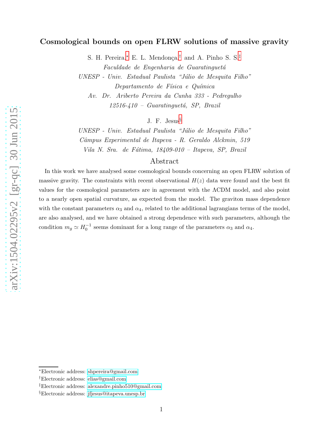# Cosmological bounds on open FLRW solutions of massive gravity

S. H. Pereira,\* E. L. Mendonça,<sup>[†](#page-0-1)</sup> and A. Pinho S. S.<sup>[‡](#page-0-2)</sup> Faculdade de Engenharia de Guaratinguetá UNESP - Univ. Estadual Paulista "Júlio de Mesquita Filho" Departamento de Física e Química Av. Dr. Ariberto Pereira da Cunha 333 - Pedregulho

 $12516 - 410$  – Guaratinguetá, SP, Brazil

J. F. Jesus [§](#page-0-3)

 $UNESP - Univ. Estadual Paulista "Julio de Mesquita Filho"$ Câmpus Experimental de Itapeva - R. Geraldo Alckmin, 519 Vila N. Sra. de Fátima, 18409-010 - Itapeva, SP, Brazil

## Abstract

In this work we have analysed some cosmological bounds concerning an open FLRW solution of massive gravity. The constraints with recent observational  $H(z)$  data were found and the best fit values for the cosmological parameters are in agreement with the ΛCDM model, and also point to a nearly open spatial curvature, as expected from the model. The graviton mass dependence with the constant parameters  $\alpha_3$  and  $\alpha_4$ , related to the additional lagrangians terms of the model, are also analysed, and we have obtained a strong dependence with such parameters, although the condition  $m_g \simeq H_0^{-1}$  seems dominant for a long range of the parameters  $\alpha_3$  and  $\alpha_4$ .

<span id="page-0-0"></span><sup>∗</sup>Electronic address: [shpereira@gmail.com](mailto:shpereira@gmail.com)

<span id="page-0-1"></span><sup>†</sup>Electronic address: [elias@gmail.com](mailto:elias@gmail.com)

<span id="page-0-2"></span><sup>‡</sup>Electronic address: [alexandre.pinho510@gmail.com](mailto:alexandre.pinho510@gmail.com)

<span id="page-0-3"></span><sup>§</sup>Electronic address: [jfjesus@itapeva.unesp.br](mailto:jfjesus@itapeva.unesp.br)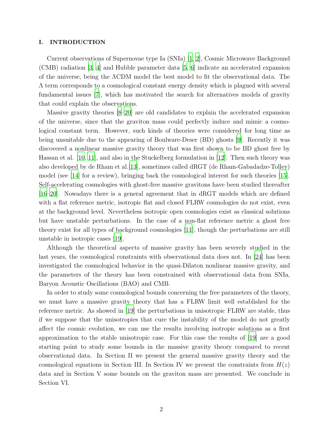#### I. INTRODUCTION

Current observations of Supernovae type Ia (SNIa) [\[1](#page-9-0), [2](#page-9-1)], Cosmic Microwave Background (CMB) radiation [\[3,](#page-9-2) [4\]](#page-9-3) and Hubble parameter data [\[5,](#page-9-4) [6\]](#page-9-5) indicate an accelerated expansion of the universe, being the ΛCDM model the best model to fit the observational data. The Λ term corresponds to a cosmological constant energy density which is plagued with several fundamental issues [\[7](#page-9-6)], which has motivated the search for alternatives models of gravity that could explain the observations.

Massive gravity theories [\[8](#page-9-7)[–20\]](#page-10-0) are old candidates to explain the accelerated expansion of the universe, since that the graviton mass could perfectly induce and mimic a cosmological constant term. However, such kinds of theories were considered for long time as being unsuitable due to the appearing of Boulware-Deser (BD) ghosts [\[9\]](#page-9-8). Recently it was discovered a nonlinear massive gravity theory that was first shown to be BD ghost free by Hassan et al. [\[10,](#page-9-9) [11](#page-9-10)], and also in the Stuckelberg formulation in [\[12](#page-10-1)]. Then such theory was also developed by de Rham et al.[\[13\]](#page-10-2), sometimes called dRGT (de Rham-Gabadadze-Tolley) model (see [\[14](#page-10-3)] for a review), bringing back the cosmological interest for such theories [\[15\]](#page-10-4). Self-accelerating cosmologies with ghost-free massive gravitons have been studied thereafter [\[16](#page-10-5)[–20\]](#page-10-0). Nowadays there is a general agreement that in dRGT models which are defined with a flat reference metric, isotropic flat and closed FLRW cosmologies do not exist, even at the background level. Nevertheless isotropic open cosmologies exist as classical solutions but have unstable perturbations. In the case of a non-flat reference metric a ghost free theory exist for all types of background cosmologies [\[11](#page-9-10)], though the perturbations are still unstable in isotropic cases [\[19\]](#page-10-6).

Although the theoretical aspects of massive gravity has been severely studied in the last years, the cosmological constraints with observational data does not. In [\[24\]](#page-11-0) has been investigated the cosmological behavior in the quasi-Dilaton nonlinear massive gravity, and the parameters of the theory has been constrained with observational data from SNIa, Baryon Acoustic Oscillations (BAO) and CMB.

In order to study some cosmological bounds concerning the free parameters of the theory, we must have a massive gravity theory that has a FLRW limit well established for the reference metric. As showed in [\[19\]](#page-10-6) the perturbations in unisotropic FLRW are stable, thus if we suppose that the unisotropies that cure the instability of the model do not greatly affect the cosmic evolution, we can use the results involving isotropic solutions as a first approximation to the stable unisotropic case. For this case the results of [\[19\]](#page-10-6) are a good starting point to study some bounds in the massive gravity theory compared to recent observational data. In Section II we present the general massive gravity theory and the cosmological equations in Section III. In Section IV we present the constraints from  $H(z)$ data and in Section V some bounds on the graviton mass are presented. We conclude in Section VI.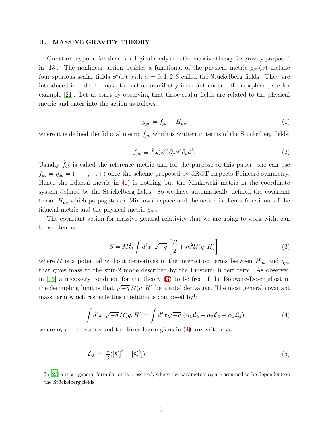#### II. MASSIVE GRAVITY THEORY

Our starting point for the cosmological analysis is the massive theory for gravity proposed in [\[13](#page-10-2)]. The nonlinear action besides a functional of the physical metric  $g_{\mu\nu}(x)$  include four spurious scalar fields  $\phi^a(x)$  with  $a = 0, 1, 2, 3$  called the Stückelberg fields. They are introduced in order to make the action manifestly invariant under diffeomorphism, see for example [\[21](#page-10-7)]. Let us start by observing that these scalar fields are related to the physical metric and enter into the action as follows:

<span id="page-2-0"></span>
$$
g_{\mu\nu} = f_{\mu\nu} + H_{\mu\nu} \tag{1}
$$

where it is defined the fiducial metric  $f_{\mu\nu}$  which is written in terms of the Stückelberg fields:

$$
f_{\mu\nu} \equiv \tilde{f}_{ab}(\phi^c)\partial_\mu\phi^a\partial_\nu\phi^b. \tag{2}
$$

Usually  $f_{ab}$  is called the reference metric and for the purpose of this paper, one can use  $f_{ab} = \eta_{ab} = (-, +, +, +)$  once the scheme proposed by dRGT respects Poincaré symmetry. Hence the fiducial metric in [\(1\)](#page-2-0) is nothing but the Minkowski metric in the coordinate system defined by the Stückelberg fields. So we have automatically defined the covariant tensor  $H_{\mu\nu}$  which propagates on Minkowski space and the action is then a functional of the fiducial metric and the physical metric  $g_{\mu\nu}$ .

The covariant action for massive general relativity that we are going to work with, can be written as:

<span id="page-2-1"></span>
$$
S = M_{Pl}^2 \int d^4x \sqrt{-g} \left[ \frac{R}{2} + m^2 \mathcal{U}(g, H) \right]
$$
 (3)

where U is a potential without derivatives in the interaction terms between  $H_{\mu\nu}$  and  $g_{\mu\nu}$ that gives mass to the spin-2 mode described by the Einstein-Hilbert term. As observed in [\[13\]](#page-10-2) a necessary condition for the theory [\(3\)](#page-2-1) to be free of the Bouware-Deser ghost in the decoupling limit is that  $\sqrt{-g} \mathcal{U}(g, H)$  be a total derivative. The most general covariant mass term which respects this condition is composed by<sup>1</sup>:

<span id="page-2-2"></span>
$$
\int d^4x \sqrt{-g} \,\mathcal{U}(g, H) = \int d^4x \sqrt{-g} \, \left( \alpha_2 \mathcal{L}_2 + \alpha_3 \mathcal{L}_3 + \alpha_4 \mathcal{L}_4 \right) \tag{4}
$$

where  $\alpha_i$  are constants and the three lagrangians in [\(4\)](#page-2-2) are written as:

$$
\mathcal{L}_2 = \frac{1}{2} ([\mathcal{K}]^2 - [\mathcal{K}^2]) \tag{5}
$$

<sup>&</sup>lt;sup>1</sup> In [\[20\]](#page-10-0) a most general formulation is presented, where the parameters  $\alpha_i$  are assumed to be dependent on the Stückelberg fields.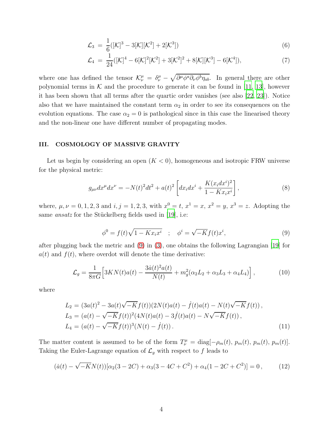$$
\mathcal{L}_3 = \frac{1}{6} ([\mathcal{K}]^3 - 3[\mathcal{K}][\mathcal{K}^2] + 2[\mathcal{K}^3]) \tag{6}
$$

$$
\mathcal{L}_4 = \frac{1}{24} ([\mathcal{K}]^4 - 6[\mathcal{K}]^2[\mathcal{K}^2] + 3[\mathcal{K}^2]^2 + 8[\mathcal{K}][\mathcal{K}^3] - 6[\mathcal{K}^4]),\tag{7}
$$

where one has defined the tensor  $\mathcal{K}^{\mu}_{\nu} = \delta^{\mu}_{\nu} - \sqrt{\partial^{\mu} \phi^a \partial_{\nu} \phi^b \eta_{ab}}$ . In general there are other polynomial terms in  $K$  and the procedure to generate it can be found in [\[11](#page-9-10), [13](#page-10-2)], however it has been shown that all terms after the quartic order vanishes (see also [\[22,](#page-10-8) [23\]](#page-11-1)). Notice also that we have maintained the constant term  $\alpha_2$  in order to see its consequences on the evolution equations. The case  $\alpha_2 = 0$  is pathological since in this case the linearised theory and the non-linear one have different number of propagating modes.

### III. COSMOLOGY OF MASSIVE GRAVITY

Let us begin by considering an open  $(K < 0)$ , homogeneous and isotropic FRW universe for the physical metric:

$$
g_{\mu\nu}dx^{\mu}dx^{\nu} = -N(t)^{2}dt^{2} + a(t)^{2} \left[ dx_{i}dx^{i} + \frac{K(x_{i}dx^{i})^{2}}{1 - Kx_{i}x^{i}} \right],
$$
\n(8)

where,  $\mu, \nu = 0, 1, 2, 3$  and  $i, j = 1, 2, 3$ , with  $x^0 = t$ ,  $x^1 = x$ ,  $x^2 = y$ ,  $x^3 = z$ . Adopting the same *ansatz* for the Stückelberg fields used in [\[19\]](#page-10-6), i.e:

<span id="page-3-0"></span>
$$
\phi^0 = f(t)\sqrt{1 - Kx_ix^i} \quad ; \quad \phi^i = \sqrt{-K}f(t)x^i,
$$
\n
$$
(9)
$$

after plugging back the metric and [\(9\)](#page-3-0) in [\(3\)](#page-2-1), one obtains the following Lagrangian [\[19](#page-10-6)] for  $a(t)$  and  $f(t)$ , where overdot will denote the time derivative:

<span id="page-3-1"></span>
$$
\mathcal{L}_g = \frac{1}{8\pi G} \Big[ 3KN(t)a(t) - \frac{3\dot{a}(t)^2 a(t)}{N(t)} + m_g^2(\alpha_2 L_2 + \alpha_3 L_3 + \alpha_4 L_4) \Big],\tag{10}
$$

where

$$
L_2 = (3a(t)^2 - 3a(t)\sqrt{-K}f(t))(2N(t)a(t) - \dot{f}(t)a(t) - N(t)\sqrt{-K}f(t)),
$$
  
\n
$$
L_3 = (a(t) - \sqrt{-K}f(t))^2(4N(t)a(t) - 3\dot{f}(t)a(t) - N\sqrt{-K}f(t)),
$$
  
\n
$$
L_4 = (a(t) - \sqrt{-K}f(t))^3(N(t) - \dot{f}(t)).
$$
\n(11)

The matter content is assumed to be of the form  $T^{\mu}_{\nu} = \text{diag}[-\rho_m(t), p_m(t), p_m(t), p_m(t)]$ . Taking the Euler-Lagrange equation of  $\mathcal{L}_g$  with respect to f leads to

$$
(\dot{a}(t) - \sqrt{-K}N(t))[\alpha_2(3 - 2C) + \alpha_3(3 - 4C + C^2) + \alpha_4(1 - 2C + C^2)] = 0, \qquad (12)
$$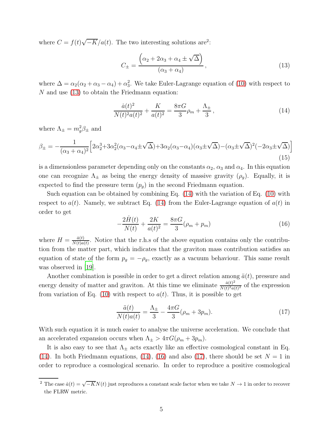where  $C = f(t)\sqrt{-K}/a(t)$ . The two interesting solutions are<sup>2</sup>:

<span id="page-4-0"></span>
$$
C_{\pm} = \frac{\left(\alpha_2 + 2\alpha_3 + \alpha_4 \pm \sqrt{\Delta}\right)}{\left(\alpha_3 + \alpha_4\right)},\tag{13}
$$

where  $\Delta = \alpha_2(\alpha_2 + \alpha_3 - \alpha_4) + \alpha_3^2$ . We take Euler-Lagrange equation of [\(10\)](#page-3-1) with respect to N and use [\(13\)](#page-4-0) to obtain the Friedmann equation:

<span id="page-4-1"></span>
$$
\frac{\dot{a}(t)^2}{N(t)^2 a(t)^2} + \frac{K}{a(t)^2} = \frac{8\pi G}{3} \rho_m + \frac{\Lambda_{\pm}}{3},\tag{14}
$$

where  $\Lambda_{\pm} = m_g^2 \beta_{\pm}$  and

$$
\beta_{\pm} = -\frac{1}{(\alpha_3 + \alpha_4)^2} \Big[ 2\alpha_2^3 + 3\alpha_2^2 (\alpha_3 - \alpha_4 \pm \sqrt{\Delta}) + 3\alpha_2 (\alpha_3 - \alpha_4)(\alpha_3 \pm \sqrt{\Delta}) - (\alpha_3 \pm \sqrt{\Delta})^2 (-2\alpha_3 \pm \sqrt{\Delta}) \Big]
$$
\n(15)

is a dimensionless parameter depending only on the constants  $\alpha_2$ ,  $\alpha_3$  and  $\alpha_4$ . In this equation one can recognize  $\Lambda_{\pm}$  as being the energy density of massive gravity  $(\rho_g)$ . Equally, it is expected to find the pressure term  $(p_g)$  in the second Friedmann equation.

Such equation can be obtained by combining Eq. [\(14\)](#page-4-1) with the variation of Eq. [\(10\)](#page-3-1) with respect to  $a(t)$ . Namely, we subtract Eq. [\(14\)](#page-4-1) from the Euler-Lagrange equation of  $a(t)$  in order to get

<span id="page-4-2"></span>
$$
-\frac{2\dot{H}(t)}{N(t)} + \frac{2K}{a(t)^2} = \frac{8\pi G}{3}(\rho_m + p_m)
$$
\n(16)

where  $H = \frac{\dot{a}(t)}{N(t)a}$  $\frac{a(t)}{N(t)a(t)}$ . Notice that the r.h.s of the above equation contains only the contribution from the matter part, which indicates that the graviton mass contribution satisfies an equation of state of the form  $p_g = -\rho_g$ , exactly as a vacuum behaviour. This same result was observed in [\[19](#page-10-6)].

Another combination is possible in order to get a direct relation among  $\ddot{a}(t)$ , pressure and energy density of matter and graviton. At this time we eliminate  $\frac{\dot{a}(t)^2}{N(t)^2 a(t)}$  $\frac{a(t)^2}{N(t)^2 a(t)^2}$  of the expression from variation of Eq. [\(10\)](#page-3-1) with respect to  $a(t)$ . Thus, it is possible to get

<span id="page-4-3"></span>
$$
\frac{\ddot{a}(t)}{N(t)a(t)} = \frac{\Lambda_{\pm}}{3} - \frac{4\pi G}{3}(\rho_m + 3p_m). \tag{17}
$$

With such equation it is much easier to analyse the universe acceleration. We conclude that an accelerated expansion occurs when  $\Lambda_{\pm} > 4\pi G(\rho_m + 3p_m)$ .

It is also easy to see that  $\Lambda_{\pm}$  acts exactly like an effective cosmological constant in Eq. [\(14\)](#page-4-1). In both Friedmann equations, [\(14\)](#page-4-1), [\(16\)](#page-4-2) and also [\(17\)](#page-4-3), there should be set  $N = 1$  in order to reproduce a cosmological scenario. In order to reproduce a positive cosmological

<sup>&</sup>lt;sup>2</sup> The case  $\dot{a}(t) = \sqrt{-K}N(t)$  just reproduces a constant scale factor when we take  $N \to 1$  in order to recover the FLRW metric.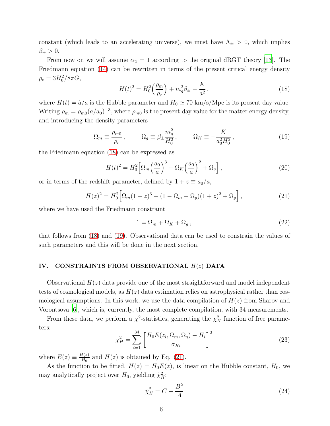constant (which leads to an accelerating universe), we must have  $\Lambda_{\pm} > 0$ , which implies  $\beta_{\pm} > 0.$ 

From now on we will assume  $\alpha_2 = 1$  according to the original dRGT theory [\[13](#page-10-2)]. The Friedmann equation [\(14\)](#page-4-1) can be rewritten in terms of the present critical energy density  $\rho_c = 3H_0^2/8\pi G,$ 

<span id="page-5-0"></span>
$$
H(t)^{2} = H_0^{2} \left(\frac{\rho_m}{\rho_c}\right) + m_g^{2} \beta_{\pm} - \frac{K}{a^2},\qquad(18)
$$

where  $H(t) = \dot{a}/a$  is the Hubble parameter and  $H_0 \simeq 70 \text{ km/s/Mpc}$  is its present day value. Writing  $\rho_m = \rho_{m0}(a/a_0)^{-3}$ , where  $\rho_{m0}$  is the present day value for the matter energy density, and introducing the density parameters

<span id="page-5-1"></span>
$$
\Omega_m \equiv \frac{\rho_{m0}}{\rho_c}, \qquad \Omega_g \equiv \beta_{\pm} \frac{m_g^2}{H_0^2}, \qquad \Omega_K \equiv -\frac{K}{a_0^2 H_0^2}, \qquad (19)
$$

the Friedmann equation [\(18\)](#page-5-0) can be expressed as

$$
H(t)^{2} = H_0^{2} \left[ \Omega_m \left( \frac{a_0}{a} \right)^{3} + \Omega_K \left( \frac{a_0}{a} \right)^{2} + \Omega_g \right],
$$
\n(20)

or in terms of the redshift parameter, defined by  $1 + z \equiv a_0/a$ ,

<span id="page-5-2"></span>
$$
H(z)^{2} = H_0^{2} \Big[ \Omega_m (1+z)^{3} + (1 - \Omega_m - \Omega_g)(1+z)^{2} + \Omega_g \Big], \tag{21}
$$

where we have used the Friedmann constraint

$$
1 = \Omega_m + \Omega_K + \Omega_g \,,\tag{22}
$$

that follows from [\(18\)](#page-5-0) and [\(19\)](#page-5-1). Observational data can be used to constrain the values of such parameters and this will be done in the next section.

## IV. CONSTRAINTS FROM OBSERVATIONAL H(z) DATA

Observational  $H(z)$  data provide one of the most straightforward and model independent tests of cosmological models, as  $H(z)$  data estimation relies on astrophysical rather than cosmological assumptions. In this work, we use the data compilation of  $H(z)$  from Sharov and Vorontsova [\[6](#page-9-5)], which is, currently, the most complete compilation, with 34 measurements.

From these data, we perform a  $\chi^2$ -statistics, generating the  $\chi^2$  function of free parameters:

$$
\chi_H^2 = \sum_{i=1}^{34} \left[ \frac{H_0 E(z_i, \Omega_m, \Omega_g) - H_i}{\sigma_{Hi}} \right]^2
$$
 (23)

where  $E(z) \equiv \frac{H(z)}{H_0}$  $\frac{H(z)}{H_0}$  and  $H(z)$  is obtained by Eq. [\(21\)](#page-5-2).

As the function to be fitted,  $H(z) = H_0 E(z)$ , is linear on the Hubble constant,  $H_0$ , we may analytically project over  $H_0$ , yielding  $\tilde{\chi}^2_H$ :

$$
\tilde{\chi}_H^2 = C - \frac{B^2}{A} \tag{24}
$$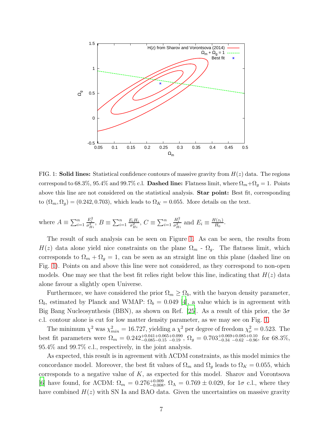

<span id="page-6-0"></span>FIG. 1: **Solid lines:** Statistical confidence contours of massive gravity from  $H(z)$  data. The regions correspond to 68.3%, 95.4% and 99.7% c.l. Dashed line: Flatness limit, where  $\Omega_m + \Omega_g = 1$ . Points above this line are not considered on the statistical analysis. **Star point:** Best fit, corresponding to  $(\Omega_m, \Omega_g) = (0.242, 0.703)$ , which leads to  $\Omega_K = 0.055$ . More details on the text.

where 
$$
A \equiv \sum_{i=1}^{n} \frac{E_i^2}{\sigma_{Hi}^2}
$$
,  $B \equiv \sum_{i=1}^{n} \frac{E_i H_i}{\sigma_{Hi}^2}$ ,  $C \equiv \sum_{i=1}^{n} \frac{H_i^2}{\sigma_{Hi}^2}$  and  $E_i \equiv \frac{H(z_i)}{H_0}$ .

The result of such analysis can be seen on Figure [1.](#page-6-0) As can be seen, the results from  $H(z)$  data alone yield nice constraints on the plane  $\Omega_m$  -  $\Omega_g$ . The flatness limit, which corresponds to  $\Omega_m + \Omega_g = 1$ , can be seen as an straight line on this plane (dashed line on Fig. [1\)](#page-6-0). Points on and above this line were not considered, as they correspond to non-open models. One may see that the best fit relies right below this line, indicating that  $H(z)$  data alone favour a slightly open Universe.

Furthermore, we have considered the prior  $\Omega_m \geq \Omega_b$ , with the baryon density parameter,  $\Omega_b$ , estimated by Planck and WMAP:  $\Omega_b = 0.049$  [\[4\]](#page-9-3), a value which is in agreement with Big Bang Nucleosynthesis (BBN), as shown on Ref. [\[25](#page-11-2)]. As a result of this prior, the  $3\sigma$ c.l. contour alone is cut for low matter density parameter, as we may see on Fig. [1.](#page-6-0)

The minimum  $\chi^2$  was  $\chi^2_{min} = 16.727$ , yielding a  $\chi^2$  per degree of freedom  $\chi^2_{\nu} = 0.523$ . The best fit parameters were  $\Omega_m = 0.242^{+0.041+0.065+0.090}_{-0.085-0.15}$ ,  $\Omega_g = 0.703^{+0.069+0.085+0.10}_{-0.34}$  for 68.3%, 95.4% and 99.7% c.l., respectively, in the joint analysis.

As expected, this result is in agreement with ΛCDM constraints, as this model mimics the concordance model. Moreover, the best fit values of  $\Omega_m$  and  $\Omega_g$  leads to  $\Omega_K = 0.055$ , which corresponds to a negative value of  $K$ , as expected for this model. Sharov and Vorontsova [\[6](#page-9-5)] have found, for  $\Lambda$ CDM:  $\Omega_m = 0.276^{+0.009}_{-0.008}$ ,  $\Omega_{\Lambda} = 0.769 \pm 0.029$ , for  $1\sigma$  c.l., where they have combined  $H(z)$  with SN Ia and BAO data. Given the uncertainties on massive gravity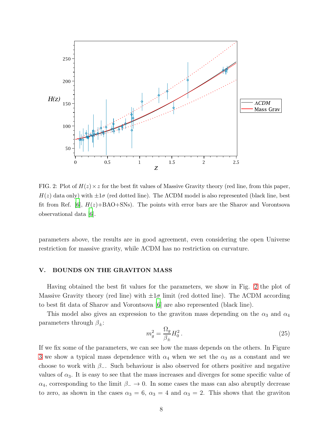

<span id="page-7-0"></span>FIG. 2: Plot of  $H(z) \times z$  for the best fit values of Massive Gravity theory (red line, from this paper,  $H(z)$  data only) with  $\pm 1\sigma$  (red dotted line). The  $\Lambda$ CDM model is also represented (black line, best fit from Ref. [\[6](#page-9-5)],  $H(z)+BAO+SNs$ ). The points with error bars are the Sharov and Vorontsova observational data [\[6\]](#page-9-5).

parameters above, the results are in good agreement, even considering the open Universe restriction for massive gravity, while ΛCDM has no restriction on curvature.

### V. BOUNDS ON THE GRAVITON MASS

Having obtained the best fit values for the parameters, we show in Fig. [2](#page-7-0) the plot of Massive Gravity theory (red line) with  $\pm 1\sigma$  limit (red dotted line). The  $\Lambda$ CDM according to best fit data of Sharov and Vorontsova [\[6](#page-9-5)] are also represented (black line).

This model also gives an expression to the graviton mass depending on the  $\alpha_3$  and  $\alpha_4$ parameters through  $\beta_{\pm}$ :

$$
m_g^2 = \frac{\Omega_g}{\beta_{\pm}} H_0^2. \tag{25}
$$

If we fix some of the parameters, we can see how the mass depends on the others. In Figure [3](#page-8-0) we show a typical mass dependence with  $\alpha_4$  when we set the  $\alpha_3$  as a constant and we choose to work with  $\beta$ -. Such behaviour is also observed for others positive and negative values of  $\alpha_3$ . It is easy to see that the mass increases and diverges for some specific value of  $\alpha_4$ , corresponding to the limit  $\beta_-\rightarrow 0$ . In some cases the mass can also abruptly decrease to zero, as shown in the cases  $\alpha_3 = 6$ ,  $\alpha_3 = 4$  and  $\alpha_3 = 2$ . This shows that the graviton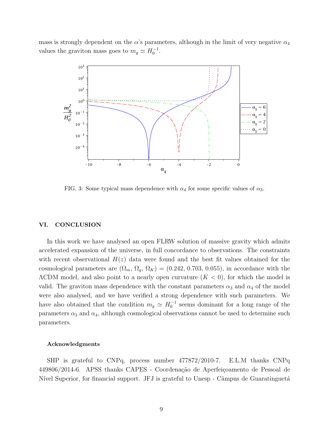mass is strongly dependent on the  $\alpha$ 's parameters, although in the limit of very negative  $\alpha_4$ values the graviton mass goes to  $m_g \simeq H_0^{-1}$ .



<span id="page-8-0"></span>FIG. 3: Some typical mass dependence with  $\alpha_4$  for some specific values of  $\alpha_3$ .

### VI. CONCLUSION

In this work we have analysed an open FLRW solution of massive gravity which admits accelerated expansion of the universe, in full concordance to observations. The constraints with recent observational  $H(z)$  data were found and the best fit values obtained for the cosmological parameters are  $(\Omega_m, \Omega_q, \Omega_K) = (0.242, 0.703, 0.055)$ , in accordance with the  $\Lambda$ CDM model, and also point to a nearly open curvature  $(K < 0)$ , for which the model is valid. The graviton mass dependence with the constant parameters  $\alpha_3$  and  $\alpha_4$  of the model were also analysed, and we have verified a strong dependence with such parameters. We have also obtained that the condition  $m_g \simeq H_0^{-1}$  seems dominant for a long range of the parameters  $\alpha_3$  and  $\alpha_4$ , although cosmological observations cannot be used to determine such parameters.

### Acknowledgments

SHP is grateful to CNPq, process number 477872/2010-7. E.L.M thanks CNPq 449806/2014-6. APSS thanks CAPES - Coordenação de Aperfeiçoamento de Pessoal de Nível Superior, for financial support. JFJ is grateful to Unesp - Câmpus de Guaratinguetá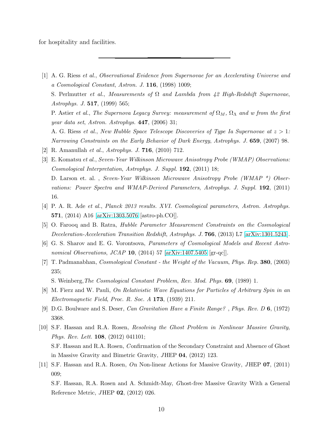for hospitality and facilities.

<span id="page-9-0"></span>[1] A. G. Riess et al., Observational Evidence from Supernovae for an Accelerating Universe and a Cosmological Constant, Astron. J. 116, (1998) 1009;

S. Perlmutter et al., Measurements of  $\Omega$  and Lambda from 42 High-Redshift Supernovae, Astrophys. J. 517, (1999) 565;

P. Astier et al., The Supernova Legacy Survey: measurement of  $\Omega_M$ ,  $\Omega_{\Lambda}$  and w from the first year data set, Astron. Astrophys. 447, (2006) 31;

A. G. Riess et al., New Hubble Space Telescope Discoveries of Type Ia Supernovae at  $z > 1$ : Narrowing Constraints on the Early Behavior of Dark Energy, Astrophys. J. 659, (2007) 98.

- <span id="page-9-1"></span>[2] R. Amanullah et al., Astrophys. J. 716, (2010) 712.
- <span id="page-9-2"></span>[3] E. Komatsu et al., Seven-Year Wilkinson Microwave Anisotropy Probe (WMAP) Observations: Cosmological Interpretation, Astrophys. J. Suppl. 192, (2011) 18; D. Larson et. al., Seven-Year Wilkinson Microwave Anisotropy Probe (WMAP \*) Observations: Power Spectra and WMAP-Derived Parameters, Astrophys. J. Suppl. 192, (2011) 16.
- <span id="page-9-3"></span>[4] P. A. R. Ade et al., Planck 2013 results. XVI. Cosmological parameters, Astron. Astrophys. 571, (2014) A16 [\[arXiv:1303.5076](http://arxiv.org/abs/1303.5076) [astro-ph.CO]].
- <span id="page-9-4"></span>[5] O. Farooq and B. Ratra, Hubble Parameter Measurement Constraints on the Cosmological Deceleration-Acceleration Transition Redshift, Astrophys. J. 766, (2013) L7 [\[arXiv:1301.5243\]](http://arxiv.org/abs/1301.5243).
- <span id="page-9-5"></span>[6] G. S. Sharov and E. G. Vorontsova, Parameters of Cosmological Models and Recent Astronomical Observations, JCAP 10,  $(2014)$  57 [\[arXiv:1407.5405](http://arxiv.org/abs/1407.5405) [gr-qc]].
- <span id="page-9-6"></span>[7] T. Padmanabhan, Cosmological Constant - the Weight of the Vacuum, Phys. Rep. 380, (2003) 235;

S. Weinberg,The Cosmological Constant Problem, Rev. Mod. Phys. 69, (1989) 1.

- <span id="page-9-7"></span>[8] M. Fierz and W. Pauli, On Relativistic Wave Equations for Particles of Arbitrary Spin in an Electromagnetic Field, Proc. R. Soc.  $A$  173, (1939) 211.
- <span id="page-9-8"></span>[9] D.G. Boulware and S. Deser, Can Gravitation Have a Finite Range? , Phys. Rev. D 6, (1972) 3368.
- <span id="page-9-9"></span>[10] S.F. Hassan and R.A. Rosen, Resolving the Ghost Problem in Nonlinear Massive Gravity, Phys. Rev. Lett. 108, (2012) 041101; S.F. Hassan and R.A. Rosen, C onfirmation of the Secondary Constraint and Absence of Ghost in Massive Gravity and Bimetric Gravity, JHEP 04, (2012) 123.
- <span id="page-9-10"></span>[11] S.F. Hassan and R.A. Rosen, On Non-linear Actions for Massive Gravity, JHEP 07, (2011) 009;

S.F. Hassan, R.A. Rosen and A. Schmidt-May, Ghost-free Massive Gravity With a General Reference Metric, JHEP 02, (2012) 026.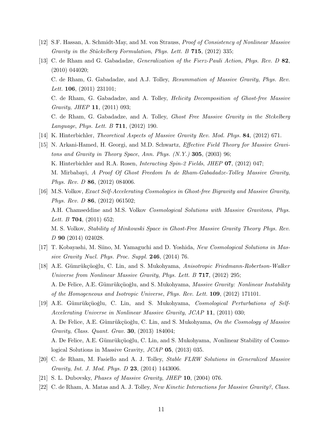- <span id="page-10-1"></span>[12] S.F. Hassan, A. Schmidt-May, and M. von Strauss, Proof of Consistency of Nonlinear Massive Gravity in the Stückelberg Formulation, Phys. Lett.  $B$  715, (2012) 335;
- <span id="page-10-2"></span>[13] C. de Rham and G. Gabadadze, Generalization of the Fierz-Pauli Action, Phys. Rev. D 82, (2010) 044020; C. de Rham, G. Gabadadze, and A.J. Tolley, Resummation of Massive Gravity, Phys. Rev. Lett. **106**, (2011) 231101; C. de Rham, G. Gabadadze, and A. Tolley, Helicity Decomposition of Ghost-free Massive Gravity, JHEP 11, (2011) 093; C. de Rham, G. Gabadadze, and A. Tolley, Ghost Free Massive Gravity in the Stckelberg Language, Phys. Lett. B 711, (2012) 190.
- <span id="page-10-3"></span>[14] K. Hinterbichler, Theoretical Aspects of Massive Gravity Rev. Mod. Phys. 84, (2012) 671.
- <span id="page-10-4"></span>[15] N. Arkani-Hamed, H. Georgi, and M.D. Schwartz, Effective Field Theory for Massive Gravitons and Gravity in Theory Space, Ann. Phys.  $(N. Y.)$  305, (2003) 96; K. Hinterbichler and R.A. Rosen, *Interacting Spin-2 Fields*, *JHEP* **07**, (2012) 047; M. Mirbabayi, A Proof Of Ghost Freedom In de Rham-Gabadadze-Tolley Massive Gravity, Phys. Rev. D 86, (2012) 084006.
- <span id="page-10-5"></span>[16] M.S. Volkov, Exact Self-Accelerating Cosmologies in Ghost-free Bigravity and Massive Gravity, Phys. Rev. D 86, (2012) 061502; A.H. Chamseddine and M.S. Volkov Cosmological Solutions with Massive Gravitons, Phys. Lett. B  $704$ , (2011) 652; M. S. Volkov, Stability of Minkowski Space in Ghost-Free Massive Gravity Theory Phys. Rev. D 90 (2014) 024028.
- [17] T. Kobayashi, M. Siino, M. Yamaguchi and D. Yoshida, New Cosmological Solutions in Massive Gravity Nucl. Phys. Proc. Suppl. 246, (2014) 76.
- [18] A.E. Gümrükçüoğlu, C. Lin, and S. Mukohyama, Anisotropic Friedmann-Robertson-Walker Universe from Nonlinear Massive Gravity, Phys. Lett. B **717**, (2012) 295; A. De Felice, A.E. Gümrükçüoğlu, and S. Mukohyama, Massive Gravity: Nonlinear Instability of the Homogeneous and Isotropic Universe, Phys. Rev. Lett. 109, (2012) 171101.
- <span id="page-10-6"></span>[19] A.E. Gümrükçüoğlu, C. Lin, and S. Mukohyama, *Cosmological Perturbations of Self-*Accelerating Universe in Nonlinear Massive Gravity, JCAP 11, (2011) 030; A. De Felice, A.E. Gümrükçüoğlu, C. Lin, and S. Mukohyama, On the Cosmology of Massive Gravity, Class. Quant. Grav. 30, (2013) 184004; A. De Felice, A.E. Gümrükçüoğlu, C. Lin, and S. Mukohyama, Nonlinear Stability of Cosmological Solutions in Massive Gravity, JCAP 05, (2013) 035.
- <span id="page-10-0"></span>[20] C. de Rham, M. Fasiello and A. J. Tolley, Stable FLRW Solutions in Generalized Massive Gravity, Int. J. Mod. Phys. D 23, (2014) 1443006.
- <span id="page-10-7"></span>[21] S. L. Dubovsky, Phases of Massive Gravity, JHEP 10, (2004) 076.
- <span id="page-10-8"></span>[22] C. de Rham, A. Matas and A. J. Tolley, New Kinetic Interactions for Massive Gravity?, Class.